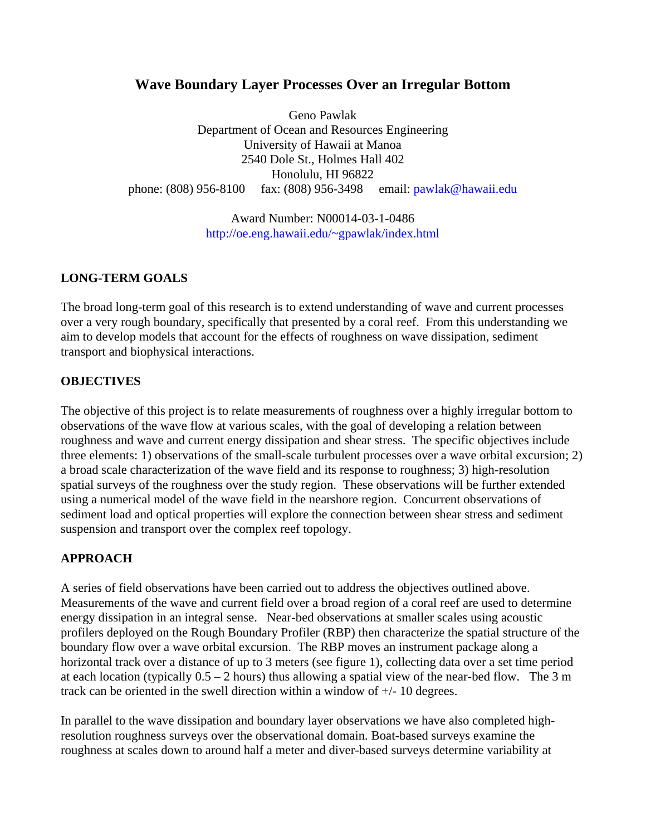# **Wave Boundary Layer Processes Over an Irregular Bottom**

Geno Pawlak Department of Ocean and Resources Engineering University of Hawaii at Manoa 2540 Dole St., Holmes Hall 402 Honolulu, HI 96822 phone: (808) 956-8100 fax: (808) 956-3498 email[: pawlak@hawaii.edu](mailto:pawlak@hawaii.edu ) 

> Award Number: N00014-03-1-0486 [http://oe.eng.hawaii.edu/~gpawlak/index.html](http://oe.eng.hawaii.edu/~gpawlak/index.html )

#### **LONG-TERM GOALS**

The broad long-term goal of this research is to extend understanding of wave and current processes over a very rough boundary, specifically that presented by a coral reef. From this understanding we aim to develop models that account for the effects of roughness on wave dissipation, sediment transport and biophysical interactions.

#### **OBJECTIVES**

The objective of this project is to relate measurements of roughness over a highly irregular bottom to observations of the wave flow at various scales, with the goal of developing a relation between roughness and wave and current energy dissipation and shear stress. The specific objectives include three elements: 1) observations of the small-scale turbulent processes over a wave orbital excursion; 2) a broad scale characterization of the wave field and its response to roughness; 3) high-resolution spatial surveys of the roughness over the study region. These observations will be further extended using a numerical model of the wave field in the nearshore region. Concurrent observations of sediment load and optical properties will explore the connection between shear stress and sediment suspension and transport over the complex reef topology.

# **APPROACH**

A series of field observations have been carried out to address the objectives outlined above. Measurements of the wave and current field over a broad region of a coral reef are used to determine energy dissipation in an integral sense. Near-bed observations at smaller scales using acoustic profilers deployed on the Rough Boundary Profiler (RBP) then characterize the spatial structure of the boundary flow over a wave orbital excursion. The RBP moves an instrument package along a horizontal track over a distance of up to 3 meters (see figure 1), collecting data over a set time period at each location (typically  $0.5 - 2$  hours) thus allowing a spatial view of the near-bed flow. The 3 m track can be oriented in the swell direction within a window of +/- 10 degrees.

In parallel to the wave dissipation and boundary layer observations we have also completed highresolution roughness surveys over the observational domain. Boat-based surveys examine the roughness at scales down to around half a meter and diver-based surveys determine variability at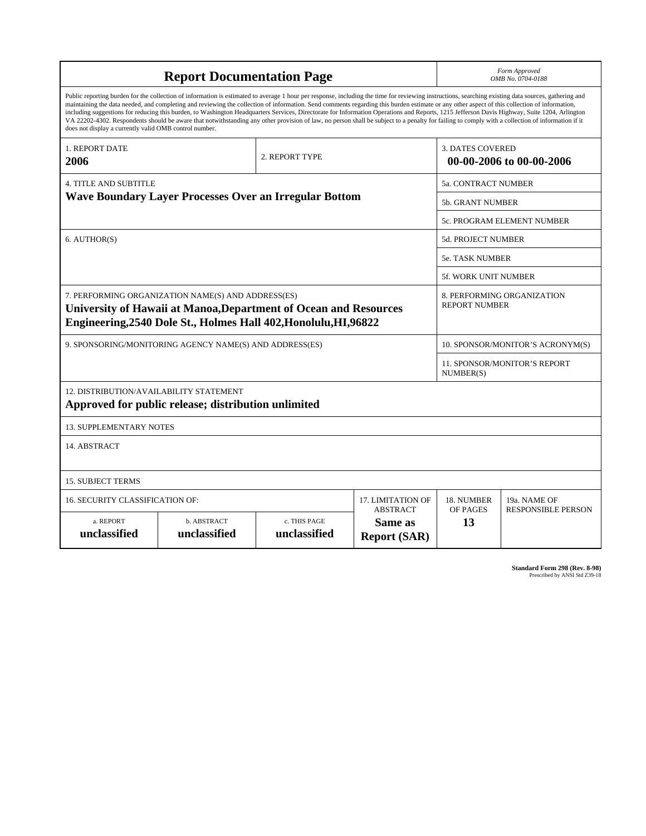| <b>Report Documentation Page</b>                                                                                                                                                                                                                                                                                                                                                                                                                                                                                                                                                                                                                                                                                                                                                                                                                                   |                                    |                              |                                                   |                                                     | Form Approved<br>OMB No. 0704-0188                 |  |  |  |
|--------------------------------------------------------------------------------------------------------------------------------------------------------------------------------------------------------------------------------------------------------------------------------------------------------------------------------------------------------------------------------------------------------------------------------------------------------------------------------------------------------------------------------------------------------------------------------------------------------------------------------------------------------------------------------------------------------------------------------------------------------------------------------------------------------------------------------------------------------------------|------------------------------------|------------------------------|---------------------------------------------------|-----------------------------------------------------|----------------------------------------------------|--|--|--|
| Public reporting burden for the collection of information is estimated to average 1 hour per response, including the time for reviewing instructions, searching existing data sources, gathering and<br>maintaining the data needed, and completing and reviewing the collection of information. Send comments regarding this burden estimate or any other aspect of this collection of information,<br>including suggestions for reducing this burden, to Washington Headquarters Services, Directorate for Information Operations and Reports, 1215 Jefferson Davis Highway, Suite 1204, Arlington<br>VA 22202-4302. Respondents should be aware that notwithstanding any other provision of law, no person shall be subject to a penalty for failing to comply with a collection of information if it<br>does not display a currently valid OMB control number. |                                    |                              |                                                   |                                                     |                                                    |  |  |  |
| <b>1. REPORT DATE</b><br>2006                                                                                                                                                                                                                                                                                                                                                                                                                                                                                                                                                                                                                                                                                                                                                                                                                                      |                                    | 2. REPORT TYPE               |                                                   | <b>3. DATES COVERED</b><br>00-00-2006 to 00-00-2006 |                                                    |  |  |  |
| <b>4. TITLE AND SUBTITLE</b>                                                                                                                                                                                                                                                                                                                                                                                                                                                                                                                                                                                                                                                                                                                                                                                                                                       |                                    |                              |                                                   |                                                     | 5a. CONTRACT NUMBER                                |  |  |  |
| <b>Wave Boundary Layer Processes Over an Irregular Bottom</b>                                                                                                                                                                                                                                                                                                                                                                                                                                                                                                                                                                                                                                                                                                                                                                                                      |                                    |                              |                                                   |                                                     | <b>5b. GRANT NUMBER</b>                            |  |  |  |
|                                                                                                                                                                                                                                                                                                                                                                                                                                                                                                                                                                                                                                                                                                                                                                                                                                                                    |                                    |                              |                                                   |                                                     | 5c. PROGRAM ELEMENT NUMBER                         |  |  |  |
| 6. AUTHOR(S)                                                                                                                                                                                                                                                                                                                                                                                                                                                                                                                                                                                                                                                                                                                                                                                                                                                       |                                    |                              |                                                   |                                                     | <b>5d. PROJECT NUMBER</b>                          |  |  |  |
|                                                                                                                                                                                                                                                                                                                                                                                                                                                                                                                                                                                                                                                                                                                                                                                                                                                                    |                                    |                              |                                                   |                                                     | 5e. TASK NUMBER                                    |  |  |  |
|                                                                                                                                                                                                                                                                                                                                                                                                                                                                                                                                                                                                                                                                                                                                                                                                                                                                    |                                    |                              |                                                   |                                                     | 5f. WORK UNIT NUMBER                               |  |  |  |
| 7. PERFORMING ORGANIZATION NAME(S) AND ADDRESS(ES)<br>University of Hawaii at Manoa, Department of Ocean and Resources<br>Engineering, 2540 Dole St., Holmes Hall 402, Honolulu, HI, 96822                                                                                                                                                                                                                                                                                                                                                                                                                                                                                                                                                                                                                                                                         |                                    |                              |                                                   |                                                     | 8. PERFORMING ORGANIZATION<br><b>REPORT NUMBER</b> |  |  |  |
| 9. SPONSORING/MONITORING AGENCY NAME(S) AND ADDRESS(ES)                                                                                                                                                                                                                                                                                                                                                                                                                                                                                                                                                                                                                                                                                                                                                                                                            |                                    |                              |                                                   |                                                     | 10. SPONSOR/MONITOR'S ACRONYM(S)                   |  |  |  |
|                                                                                                                                                                                                                                                                                                                                                                                                                                                                                                                                                                                                                                                                                                                                                                                                                                                                    |                                    |                              |                                                   |                                                     | 11. SPONSOR/MONITOR'S REPORT<br>NUMBER(S)          |  |  |  |
| 12. DISTRIBUTION/AVAILABILITY STATEMENT<br>Approved for public release; distribution unlimited                                                                                                                                                                                                                                                                                                                                                                                                                                                                                                                                                                                                                                                                                                                                                                     |                                    |                              |                                                   |                                                     |                                                    |  |  |  |
| <b>13. SUPPLEMENTARY NOTES</b>                                                                                                                                                                                                                                                                                                                                                                                                                                                                                                                                                                                                                                                                                                                                                                                                                                     |                                    |                              |                                                   |                                                     |                                                    |  |  |  |
| 14. ABSTRACT                                                                                                                                                                                                                                                                                                                                                                                                                                                                                                                                                                                                                                                                                                                                                                                                                                                       |                                    |                              |                                                   |                                                     |                                                    |  |  |  |
| <b>15. SUBJECT TERMS</b>                                                                                                                                                                                                                                                                                                                                                                                                                                                                                                                                                                                                                                                                                                                                                                                                                                           |                                    |                              |                                                   |                                                     |                                                    |  |  |  |
| 16. SECURITY CLASSIFICATION OF:                                                                                                                                                                                                                                                                                                                                                                                                                                                                                                                                                                                                                                                                                                                                                                                                                                    | 17. LIMITATION OF                  | 18. NUMBER                   | 19a. NAME OF                                      |                                                     |                                                    |  |  |  |
| a. REPORT<br>unclassified                                                                                                                                                                                                                                                                                                                                                                                                                                                                                                                                                                                                                                                                                                                                                                                                                                          | <b>b. ABSTRACT</b><br>unclassified | c. THIS PAGE<br>unclassified | <b>ABSTRACT</b><br>Same as<br><b>Report (SAR)</b> | OF PAGES<br>13                                      | <b>RESPONSIBLE PERSON</b>                          |  |  |  |

| <b>Standard Form 298 (Rev. 8-98)</b> |                               |  |  |
|--------------------------------------|-------------------------------|--|--|
|                                      | Prescribed by ANSI Std Z39-18 |  |  |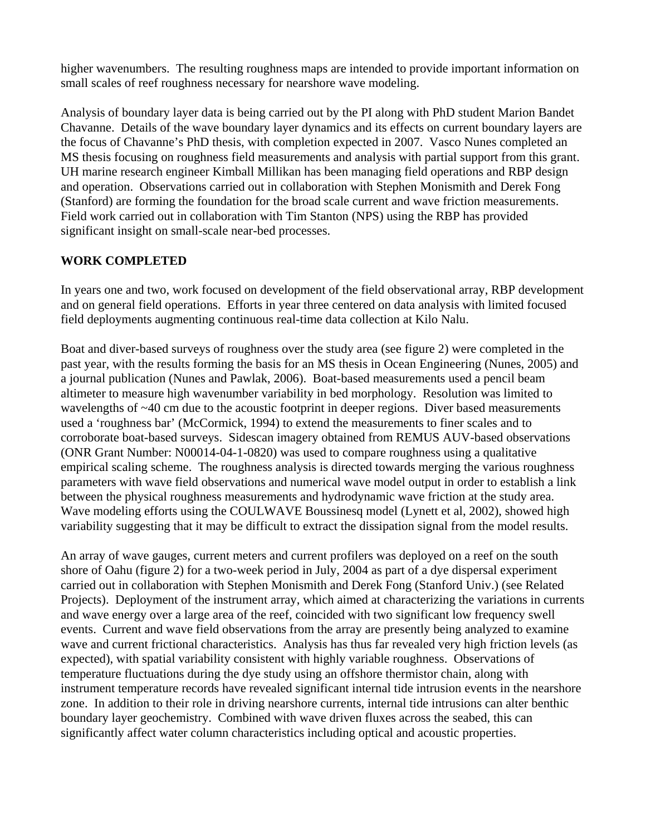higher wavenumbers. The resulting roughness maps are intended to provide important information on small scales of reef roughness necessary for nearshore wave modeling.

Analysis of boundary layer data is being carried out by the PI along with PhD student Marion Bandet Chavanne. Details of the wave boundary layer dynamics and its effects on current boundary layers are the focus of Chavanne's PhD thesis, with completion expected in 2007. Vasco Nunes completed an MS thesis focusing on roughness field measurements and analysis with partial support from this grant. UH marine research engineer Kimball Millikan has been managing field operations and RBP design and operation. Observations carried out in collaboration with Stephen Monismith and Derek Fong (Stanford) are forming the foundation for the broad scale current and wave friction measurements. Field work carried out in collaboration with Tim Stanton (NPS) using the RBP has provided significant insight on small-scale near-bed processes.

#### **WORK COMPLETED**

In years one and two, work focused on development of the field observational array, RBP development and on general field operations. Efforts in year three centered on data analysis with limited focused field deployments augmenting continuous real-time data collection at Kilo Nalu.

Boat and diver-based surveys of roughness over the study area (see figure 2) were completed in the past year, with the results forming the basis for an MS thesis in Ocean Engineering (Nunes, 2005) and a journal publication (Nunes and Pawlak, 2006). Boat-based measurements used a pencil beam altimeter to measure high wavenumber variability in bed morphology. Resolution was limited to wavelengths of ~40 cm due to the acoustic footprint in deeper regions. Diver based measurements used a 'roughness bar' (McCormick, 1994) to extend the measurements to finer scales and to corroborate boat-based surveys. Sidescan imagery obtained from REMUS AUV-based observations (ONR Grant Number: N00014-04-1-0820) was used to compare roughness using a qualitative empirical scaling scheme. The roughness analysis is directed towards merging the various roughness parameters with wave field observations and numerical wave model output in order to establish a link between the physical roughness measurements and hydrodynamic wave friction at the study area. Wave modeling efforts using the COULWAVE Boussinesq model (Lynett et al, 2002), showed high variability suggesting that it may be difficult to extract the dissipation signal from the model results.

An array of wave gauges, current meters and current profilers was deployed on a reef on the south shore of Oahu (figure 2) for a two-week period in July, 2004 as part of a dye dispersal experiment carried out in collaboration with Stephen Monismith and Derek Fong (Stanford Univ.) (see Related Projects). Deployment of the instrument array, which aimed at characterizing the variations in currents and wave energy over a large area of the reef, coincided with two significant low frequency swell events. Current and wave field observations from the array are presently being analyzed to examine wave and current frictional characteristics. Analysis has thus far revealed very high friction levels (as expected), with spatial variability consistent with highly variable roughness. Observations of temperature fluctuations during the dye study using an offshore thermistor chain, along with instrument temperature records have revealed significant internal tide intrusion events in the nearshore zone. In addition to their role in driving nearshore currents, internal tide intrusions can alter benthic boundary layer geochemistry. Combined with wave driven fluxes across the seabed, this can significantly affect water column characteristics including optical and acoustic properties.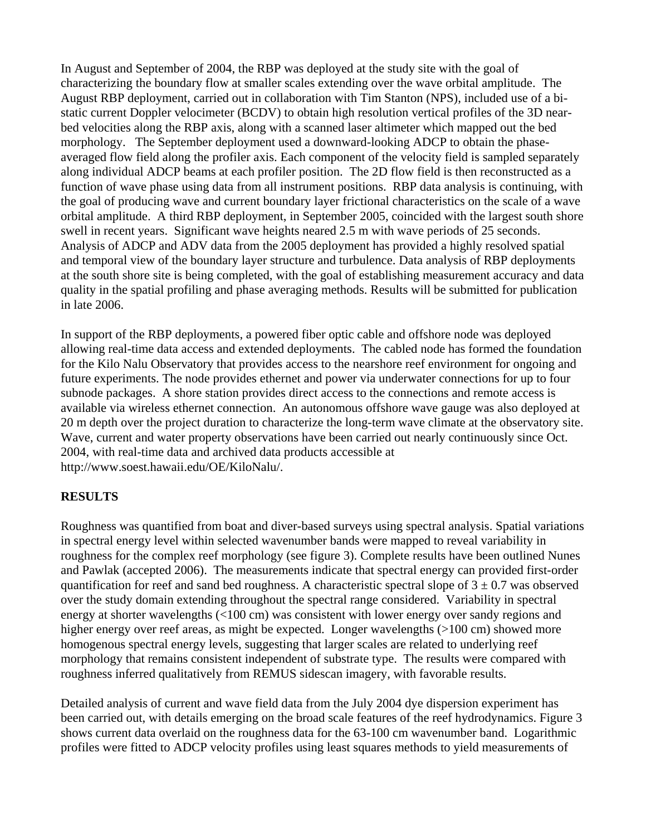In August and September of 2004, the RBP was deployed at the study site with the goal of characterizing the boundary flow at smaller scales extending over the wave orbital amplitude. The August RBP deployment, carried out in collaboration with Tim Stanton (NPS), included use of a bistatic current Doppler velocimeter (BCDV) to obtain high resolution vertical profiles of the 3D nearbed velocities along the RBP axis, along with a scanned laser altimeter which mapped out the bed morphology. The September deployment used a downward-looking ADCP to obtain the phaseaveraged flow field along the profiler axis. Each component of the velocity field is sampled separately along individual ADCP beams at each profiler position. The 2D flow field is then reconstructed as a function of wave phase using data from all instrument positions. RBP data analysis is continuing, with the goal of producing wave and current boundary layer frictional characteristics on the scale of a wave orbital amplitude. A third RBP deployment, in September 2005, coincided with the largest south shore swell in recent years. Significant wave heights neared 2.5 m with wave periods of 25 seconds. Analysis of ADCP and ADV data from the 2005 deployment has provided a highly resolved spatial and temporal view of the boundary layer structure and turbulence. Data analysis of RBP deployments at the south shore site is being completed, with the goal of establishing measurement accuracy and data quality in the spatial profiling and phase averaging methods. Results will be submitted for publication in late 2006.

In support of the RBP deployments, a powered fiber optic cable and offshore node was deployed allowing real-time data access and extended deployments. The cabled node has formed the foundation for the Kilo Nalu Observatory that provides access to the nearshore reef environment for ongoing and future experiments. The node provides ethernet and power via underwater connections for up to four subnode packages. A shore station provides direct access to the connections and remote access is available via wireless ethernet connection. An autonomous offshore wave gauge was also deployed at 20 m depth over the project duration to characterize the long-term wave climate at the observatory site. Wave, current and water property observations have been carried out nearly continuously since Oct. 2004, with real-time data and archived data products accessible at http://www.soest.hawaii.edu/OE/KiloNalu/.

#### **RESULTS**

Roughness was quantified from boat and diver-based surveys using spectral analysis. Spatial variations in spectral energy level within selected wavenumber bands were mapped to reveal variability in roughness for the complex reef morphology (see figure 3). Complete results have been outlined Nunes and Pawlak (accepted 2006). The measurements indicate that spectral energy can provided first-order quantification for reef and sand bed roughness. A characteristic spectral slope of  $3 \pm 0.7$  was observed over the study domain extending throughout the spectral range considered. Variability in spectral energy at shorter wavelengths (<100 cm) was consistent with lower energy over sandy regions and higher energy over reef areas, as might be expected. Longer wavelengths (>100 cm) showed more homogenous spectral energy levels, suggesting that larger scales are related to underlying reef morphology that remains consistent independent of substrate type. The results were compared with roughness inferred qualitatively from REMUS sidescan imagery, with favorable results.

Detailed analysis of current and wave field data from the July 2004 dye dispersion experiment has been carried out, with details emerging on the broad scale features of the reef hydrodynamics. Figure 3 shows current data overlaid on the roughness data for the 63-100 cm wavenumber band. Logarithmic profiles were fitted to ADCP velocity profiles using least squares methods to yield measurements of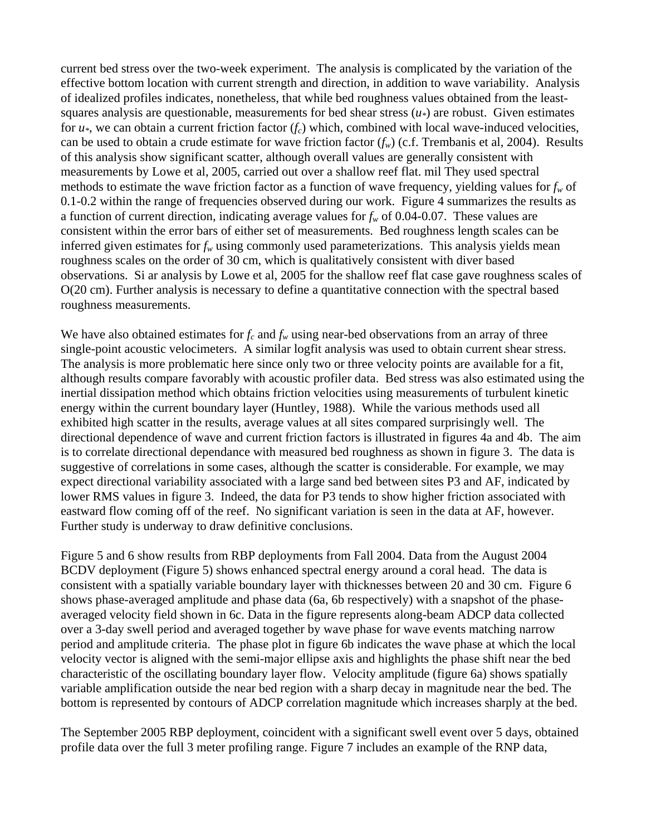current bed stress over the two-week experiment. The analysis is complicated by the variation of the effective bottom location with current strength and direction, in addition to wave variability. Analysis of idealized profiles indicates, nonetheless, that while bed roughness values obtained from the leastsquares analysis are questionable, measurements for bed shear stress  $(u_*)$  are robust. Given estimates for  $u^*$ , we can obtain a current friction factor  $(f_c)$  which, combined with local wave-induced velocities, can be used to obtain a crude estimate for wave friction factor  $(f_w)$  (c.f. Trembanis et al, 2004). Results of this analysis show significant scatter, although overall values are generally consistent with measurements by Lowe et al, 2005, carried out over a shallow reef flat. mil They used spectral methods to estimate the wave friction factor as a function of wave frequency, yielding values for  $f_w$  of 0.1-0.2 within the range of frequencies observed during our work. Figure 4 summarizes the results as a function of current direction, indicating average values for  $f_w$  of 0.04-0.07. These values are consistent within the error bars of either set of measurements. Bed roughness length scales can be inferred given estimates for  $f_w$  using commonly used parameterizations. This analysis yields mean roughness scales on the order of 30 cm, which is qualitatively consistent with diver based observations. Si ar analysis by Lowe et al, 2005 for the shallow reef flat case gave roughness scales of O(20 cm). Further analysis is necessary to define a quantitative connection with the spectral based roughness measurements.

We have also obtained estimates for  $f_c$  and  $f_w$  using near-bed observations from an array of three single-point acoustic velocimeters. A similar logfit analysis was used to obtain current shear stress. The analysis is more problematic here since only two or three velocity points are available for a fit, although results compare favorably with acoustic profiler data. Bed stress was also estimated using the inertial dissipation method which obtains friction velocities using measurements of turbulent kinetic energy within the current boundary layer (Huntley, 1988). While the various methods used all exhibited high scatter in the results, average values at all sites compared surprisingly well. The directional dependence of wave and current friction factors is illustrated in figures 4a and 4b. The aim is to correlate directional dependance with measured bed roughness as shown in figure 3. The data is suggestive of correlations in some cases, although the scatter is considerable. For example, we may expect directional variability associated with a large sand bed between sites P3 and AF, indicated by lower RMS values in figure 3. Indeed, the data for P3 tends to show higher friction associated with eastward flow coming off of the reef. No significant variation is seen in the data at AF, however. Further study is underway to draw definitive conclusions.

Figure 5 and 6 show results from RBP deployments from Fall 2004. Data from the August 2004 BCDV deployment (Figure 5) shows enhanced spectral energy around a coral head. The data is consistent with a spatially variable boundary layer with thicknesses between 20 and 30 cm. Figure 6 shows phase-averaged amplitude and phase data (6a, 6b respectively) with a snapshot of the phaseaveraged velocity field shown in 6c. Data in the figure represents along-beam ADCP data collected over a 3-day swell period and averaged together by wave phase for wave events matching narrow period and amplitude criteria. The phase plot in figure 6b indicates the wave phase at which the local velocity vector is aligned with the semi-major ellipse axis and highlights the phase shift near the bed characteristic of the oscillating boundary layer flow. Velocity amplitude (figure 6a) shows spatially variable amplification outside the near bed region with a sharp decay in magnitude near the bed. The bottom is represented by contours of ADCP correlation magnitude which increases sharply at the bed.

The September 2005 RBP deployment, coincident with a significant swell event over 5 days, obtained profile data over the full 3 meter profiling range. Figure 7 includes an example of the RNP data,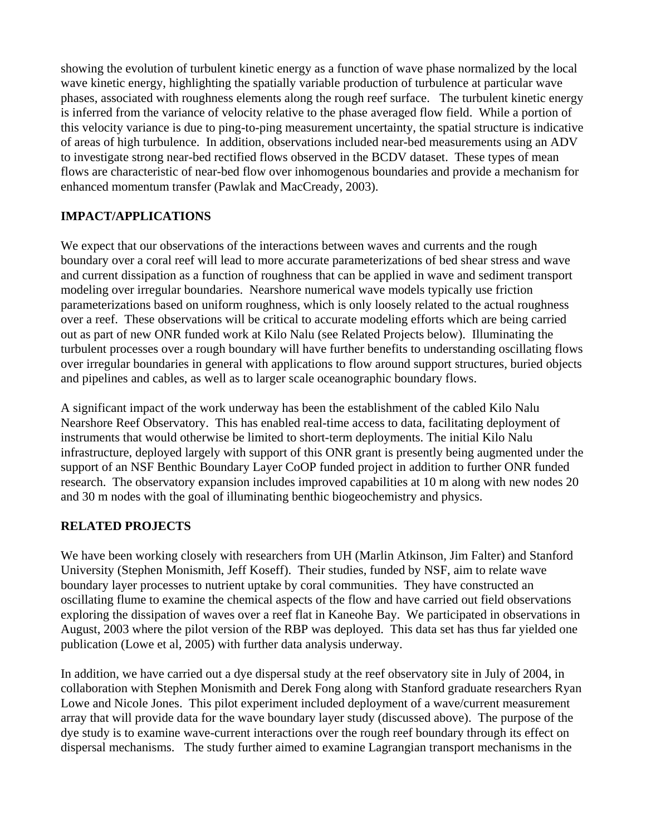showing the evolution of turbulent kinetic energy as a function of wave phase normalized by the local wave kinetic energy, highlighting the spatially variable production of turbulence at particular wave phases, associated with roughness elements along the rough reef surface. The turbulent kinetic energy is inferred from the variance of velocity relative to the phase averaged flow field. While a portion of this velocity variance is due to ping-to-ping measurement uncertainty, the spatial structure is indicative of areas of high turbulence. In addition, observations included near-bed measurements using an ADV to investigate strong near-bed rectified flows observed in the BCDV dataset. These types of mean flows are characteristic of near-bed flow over inhomogenous boundaries and provide a mechanism for enhanced momentum transfer (Pawlak and MacCready, 2003).

## **IMPACT/APPLICATIONS**

We expect that our observations of the interactions between waves and currents and the rough boundary over a coral reef will lead to more accurate parameterizations of bed shear stress and wave and current dissipation as a function of roughness that can be applied in wave and sediment transport modeling over irregular boundaries. Nearshore numerical wave models typically use friction parameterizations based on uniform roughness, which is only loosely related to the actual roughness over a reef. These observations will be critical to accurate modeling efforts which are being carried out as part of new ONR funded work at Kilo Nalu (see Related Projects below). Illuminating the turbulent processes over a rough boundary will have further benefits to understanding oscillating flows over irregular boundaries in general with applications to flow around support structures, buried objects and pipelines and cables, as well as to larger scale oceanographic boundary flows.

A significant impact of the work underway has been the establishment of the cabled Kilo Nalu Nearshore Reef Observatory. This has enabled real-time access to data, facilitating deployment of instruments that would otherwise be limited to short-term deployments. The initial Kilo Nalu infrastructure, deployed largely with support of this ONR grant is presently being augmented under the support of an NSF Benthic Boundary Layer CoOP funded project in addition to further ONR funded research. The observatory expansion includes improved capabilities at 10 m along with new nodes 20 and 30 m nodes with the goal of illuminating benthic biogeochemistry and physics.

#### **RELATED PROJECTS**

We have been working closely with researchers from UH (Marlin Atkinson, Jim Falter) and Stanford University (Stephen Monismith, Jeff Koseff). Their studies, funded by NSF, aim to relate wave boundary layer processes to nutrient uptake by coral communities. They have constructed an oscillating flume to examine the chemical aspects of the flow and have carried out field observations exploring the dissipation of waves over a reef flat in Kaneohe Bay. We participated in observations in August, 2003 where the pilot version of the RBP was deployed. This data set has thus far yielded one publication (Lowe et al, 2005) with further data analysis underway.

In addition, we have carried out a dye dispersal study at the reef observatory site in July of 2004, in collaboration with Stephen Monismith and Derek Fong along with Stanford graduate researchers Ryan Lowe and Nicole Jones. This pilot experiment included deployment of a wave/current measurement array that will provide data for the wave boundary layer study (discussed above). The purpose of the dye study is to examine wave-current interactions over the rough reef boundary through its effect on dispersal mechanisms. The study further aimed to examine Lagrangian transport mechanisms in the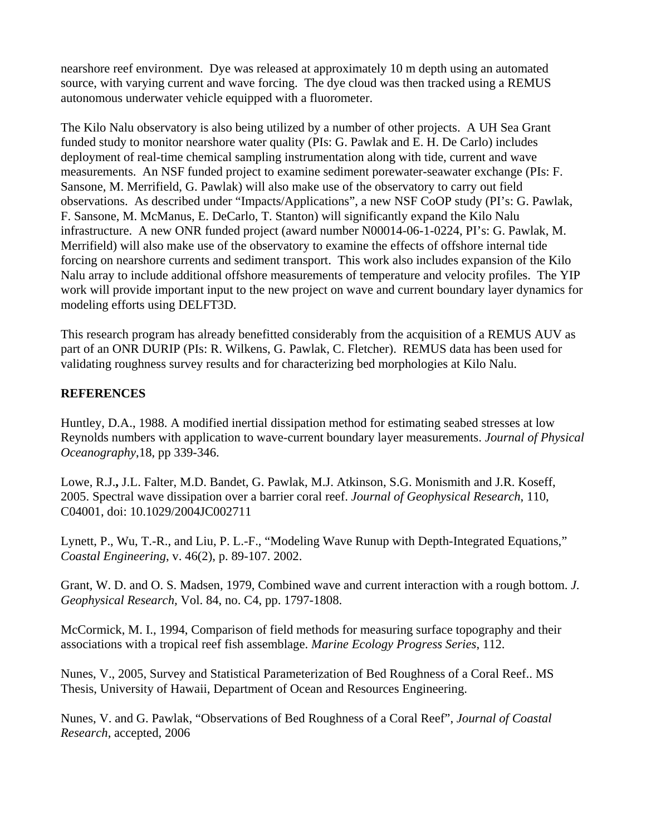nearshore reef environment. Dye was released at approximately 10 m depth using an automated source, with varying current and wave forcing. The dye cloud was then tracked using a REMUS autonomous underwater vehicle equipped with a fluorometer.

The Kilo Nalu observatory is also being utilized by a number of other projects. A UH Sea Grant funded study to monitor nearshore water quality (PIs: G. Pawlak and E. H. De Carlo) includes deployment of real-time chemical sampling instrumentation along with tide, current and wave measurements. An NSF funded project to examine sediment porewater-seawater exchange (PIs: F. Sansone, M. Merrifield, G. Pawlak) will also make use of the observatory to carry out field observations. As described under "Impacts/Applications", a new NSF CoOP study (PI's: G. Pawlak, F. Sansone, M. McManus, E. DeCarlo, T. Stanton) will significantly expand the Kilo Nalu infrastructure. A new ONR funded project (award number N00014-06-1-0224, PI's: G. Pawlak, M. Merrifield) will also make use of the observatory to examine the effects of offshore internal tide forcing on nearshore currents and sediment transport. This work also includes expansion of the Kilo Nalu array to include additional offshore measurements of temperature and velocity profiles. The YIP work will provide important input to the new project on wave and current boundary layer dynamics for modeling efforts using DELFT3D.

This research program has already benefitted considerably from the acquisition of a REMUS AUV as part of an ONR DURIP (PIs: R. Wilkens, G. Pawlak, C. Fletcher). REMUS data has been used for validating roughness survey results and for characterizing bed morphologies at Kilo Nalu.

#### **REFERENCES**

Huntley, D.A., 1988. A modified inertial dissipation method for estimating seabed stresses at low Reynolds numbers with application to wave-current boundary layer measurements. *Journal of Physical Oceanography*,18, pp 339-346.

Lowe, R.J.**,** J.L. Falter, M.D. Bandet, G. Pawlak, M.J. Atkinson, S.G. Monismith and J.R. Koseff, 2005. Spectral wave dissipation over a barrier coral reef. *Journal of Geophysical Research*, 110, C04001, doi: 10.1029/2004JC002711

Lynett, P., Wu, T.-R., and Liu, P. L.-F., "Modeling Wave Runup with Depth-Integrated Equations," *Coastal Engineering*, v. 46(2), p. 89-107. 2002.

Grant, W. D. and O. S. Madsen, 1979, Combined wave and current interaction with a rough bottom. *J. Geophysical Research,* Vol. 84, no. C4, pp. 1797-1808.

McCormick, M. I., 1994, Comparison of field methods for measuring surface topography and their associations with a tropical reef fish assemblage. *Marine Ecology Progress Series*, 112.

Nunes, V., 2005, Survey and Statistical Parameterization of Bed Roughness of a Coral Reef.. MS Thesis, University of Hawaii, Department of Ocean and Resources Engineering.

Nunes, V. and G. Pawlak, "Observations of Bed Roughness of a Coral Reef", *Journal of Coastal Research*, accepted, 2006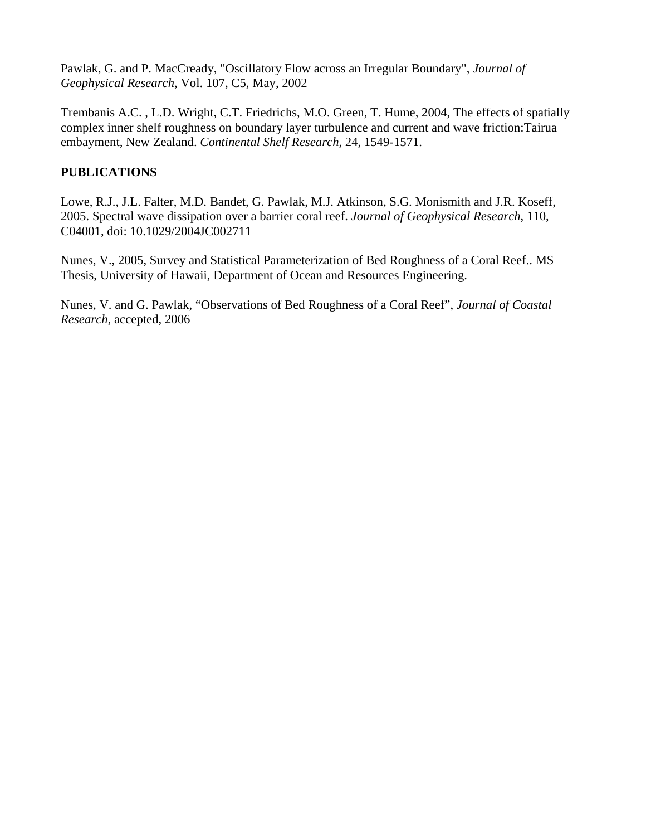Pawlak, G. and P. MacCready, "Oscillatory Flow across an Irregular Boundary", *Journal of Geophysical Research*, Vol. 107, C5, May, 2002

Trembanis A.C. , L.D. Wright, C.T. Friedrichs, M.O. Green, T. Hume, 2004, The effects of spatially complex inner shelf roughness on boundary layer turbulence and current and wave friction:Tairua embayment, New Zealand. *Continental Shelf Research*, 24, 1549-1571.

## **PUBLICATIONS**

Lowe, R.J., J.L. Falter, M.D. Bandet, G. Pawlak, M.J. Atkinson, S.G. Monismith and J.R. Koseff, 2005. Spectral wave dissipation over a barrier coral reef. *Journal of Geophysical Research*, 110, C04001, doi: 10.1029/2004JC002711

Nunes, V., 2005, Survey and Statistical Parameterization of Bed Roughness of a Coral Reef.. MS Thesis, University of Hawaii, Department of Ocean and Resources Engineering.

Nunes, V. and G. Pawlak, "Observations of Bed Roughness of a Coral Reef", *Journal of Coastal Research*, accepted, 2006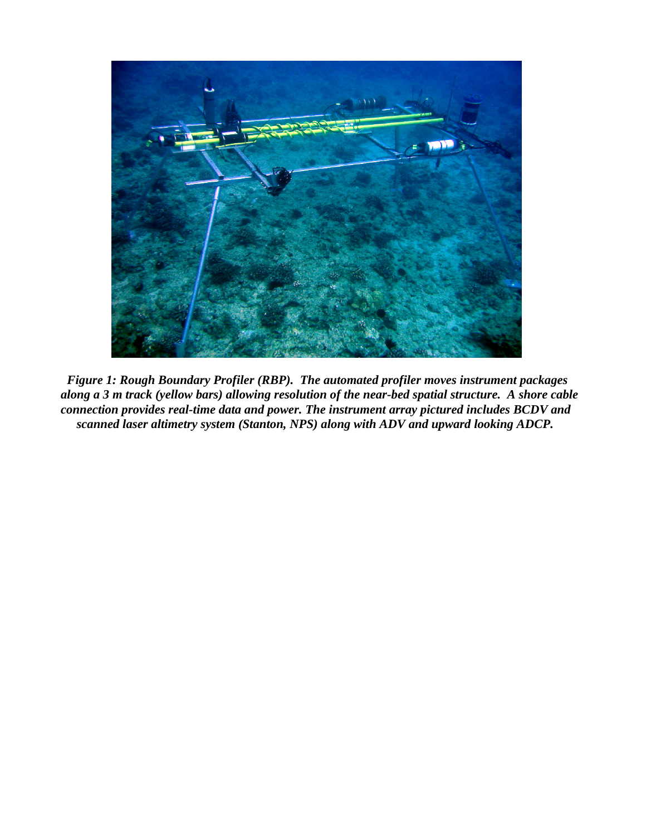

 *Figure 1: Rough Boundary Profiler (RBP). The automated profiler moves instrument packages along a 3 m track (yellow bars) allowing resolution of the near-bed spatial structure. A shore cable connection provides real-time data and power. The instrument array pictured includes BCDV and scanned laser altimetry system (Stanton, NPS) along with ADV and upward looking ADCP.*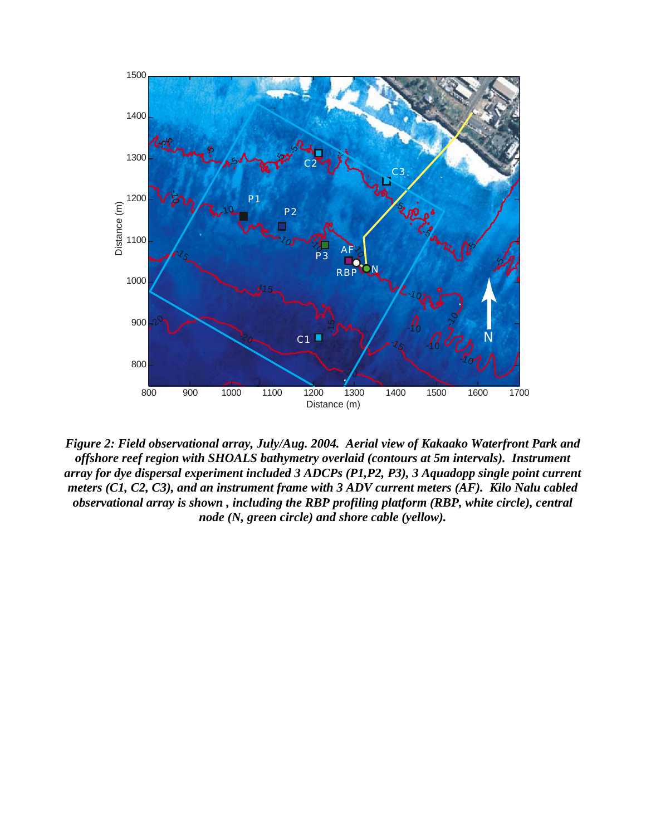

*Figure 2: Field observational array, July/Aug. 2004. Aerial view of Kakaako Waterfront Park and offshore reef region with SHOALS bathymetry overlaid (contours at 5m intervals). Instrument array for dye dispersal experiment included 3 ADCPs (P1,P2, P3), 3 Aquadopp single point current meters (C1, C2, C3), and an instrument frame with 3 ADV current meters (AF). Kilo Nalu cabled observational array is shown , including the RBP profiling platform (RBP, white circle), central node (N, green circle) and shore cable (yellow).*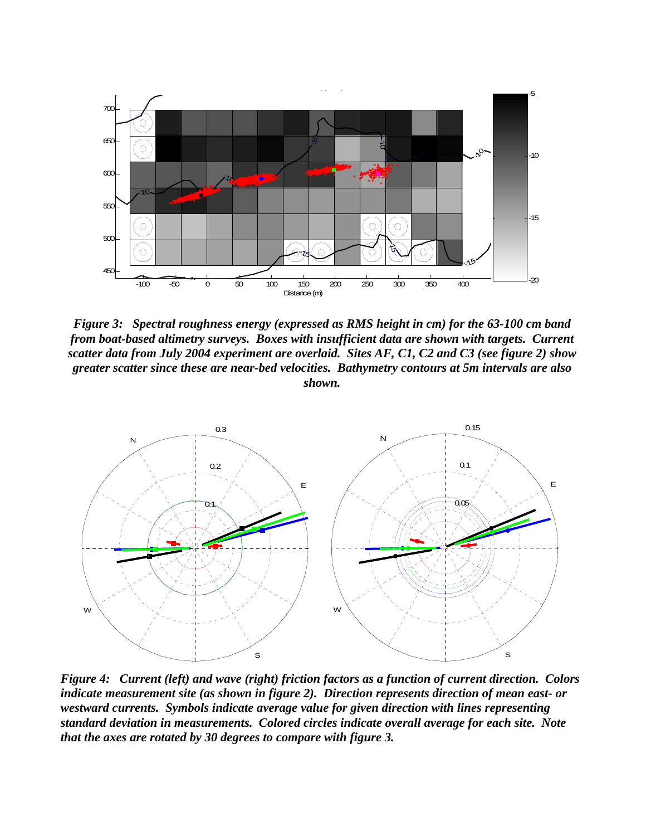

*Figure 3: Spectral roughness energy (expressed as RMS height in cm) for the 63-100 cm band from boat-based altimetry surveys. Boxes with insufficient data are shown with targets. Current scatter data from July 2004 experiment are overlaid. Sites AF, C1, C2 and C3 (see figure 2) show greater scatter since these are near-bed velocities. Bathymetry contours at 5m intervals are also shown.* 



*Figure 4: Current (left) and wave (right) friction factors as a function of current direction. Colors indicate measurement site (as shown in figure 2). Direction represents direction of mean east- or westward currents. Symbols indicate average value for given direction with lines representing standard deviation in measurements. Colored circles indicate overall average for each site. Note that the axes are rotated by 30 degrees to compare with figure 3.*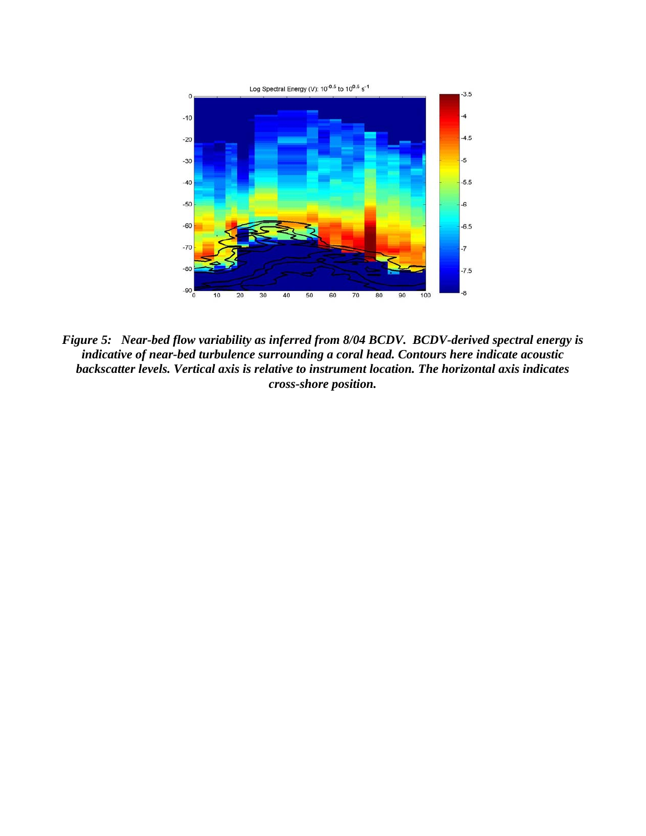

*Figure 5: Near-bed flow variability as inferred from 8/04 BCDV. BCDV-derived spectral energy is indicative of near-bed turbulence surrounding a coral head. Contours here indicate acoustic backscatter levels. Vertical axis is relative to instrument location. The horizontal axis indicates cross-shore position.*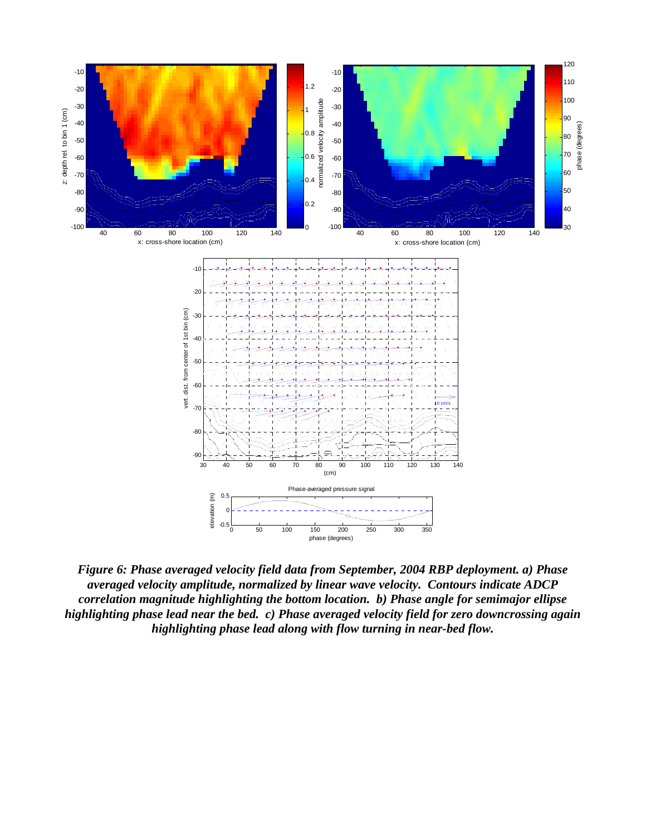

*Figure 6: Phase averaged velocity field data from September, 2004 RBP deployment. a) Phase averaged velocity amplitude, normalized by linear wave velocity. Contours indicate ADCP correlation magnitude highlighting the bottom location. b) Phase angle for semimajor ellipse highlighting phase lead near the bed. c) Phase averaged velocity field for zero downcrossing again highlighting phase lead along with flow turning in near-bed flow.*